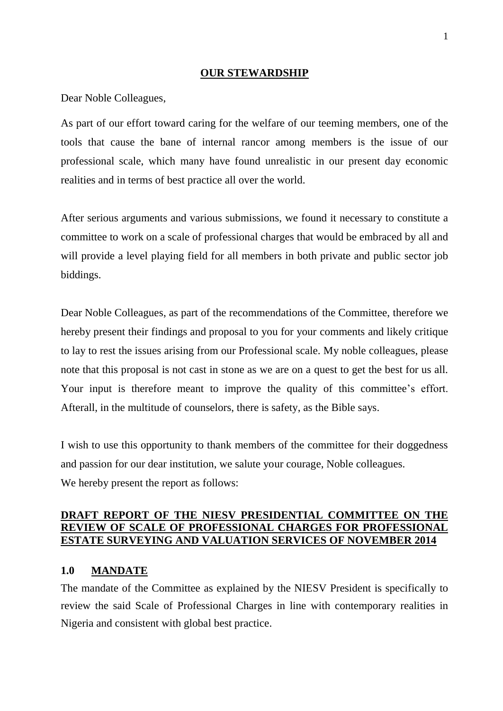#### **OUR STEWARDSHIP**

Dear Noble Colleagues,

As part of our effort toward caring for the welfare of our teeming members, one of the tools that cause the bane of internal rancor among members is the issue of our professional scale, which many have found unrealistic in our present day economic realities and in terms of best practice all over the world.

After serious arguments and various submissions, we found it necessary to constitute a committee to work on a scale of professional charges that would be embraced by all and will provide a level playing field for all members in both private and public sector job biddings.

Dear Noble Colleagues, as part of the recommendations of the Committee, therefore we hereby present their findings and proposal to you for your comments and likely critique to lay to rest the issues arising from our Professional scale. My noble colleagues, please note that this proposal is not cast in stone as we are on a quest to get the best for us all. Your input is therefore meant to improve the quality of this committee's effort. Afterall, in the multitude of counselors, there is safety, as the Bible says.

I wish to use this opportunity to thank members of the committee for their doggedness and passion for our dear institution, we salute your courage, Noble colleagues. We hereby present the report as follows:

### **DRAFT REPORT OF THE NIESV PRESIDENTIAL COMMITTEE ON THE REVIEW OF SCALE OF PROFESSIONAL CHARGES FOR PROFESSIONAL ESTATE SURVEYING AND VALUATION SERVICES OF NOVEMBER 2014**

### **1.0 MANDATE**

The mandate of the Committee as explained by the NIESV President is specifically to review the said Scale of Professional Charges in line with contemporary realities in Nigeria and consistent with global best practice.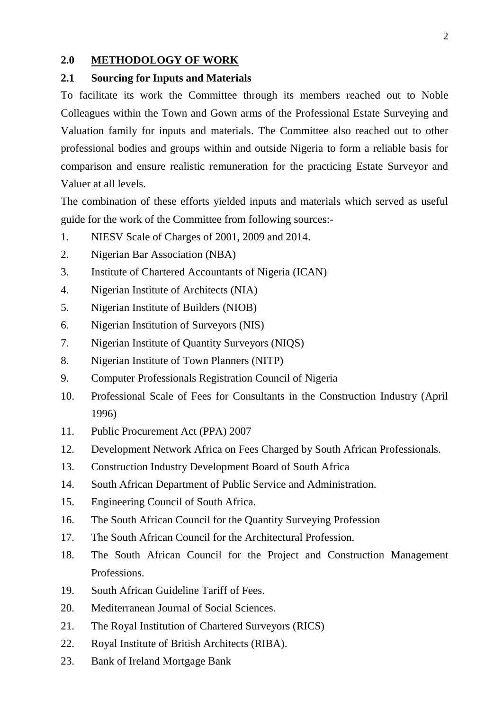### **2.0 METHODOLOGY OF WORK**

### **2.1 Sourcing for Inputs and Materials**

To facilitate its work the Committee through its members reached out to Noble Colleagues within the Town and Gown arms of the Professional Estate Surveying and Valuation family for inputs and materials. The Committee also reached out to other professional bodies and groups within and outside Nigeria to form a reliable basis for comparison and ensure realistic remuneration for the practicing Estate Surveyor and Valuer at all levels.

The combination of these efforts yielded inputs and materials which served as useful guide for the work of the Committee from following sources:-

- 1. NIESV Scale of Charges of 2001, 2009 and 2014.
- 2. Nigerian Bar Association (NBA)
- 3. Institute of Chartered Accountants of Nigeria (ICAN)
- 4. Nigerian Institute of Architects (NIA)
- 5. Nigerian Institute of Builders (NIOB)
- 6. Nigerian Institution of Surveyors (NIS)
- 7. Nigerian Institute of Quantity Surveyors (NIQS)
- 8. Nigerian Institute of Town Planners (NITP)
- 9. Computer Professionals Registration Council of Nigeria
- 10. Professional Scale of Fees for Consultants in the Construction Industry (April 1996)
- 11. Public Procurement Act (PPA) 2007
- 12. Development Network Africa on Fees Charged by South African Professionals.
- 13. Construction Industry Development Board of South Africa
- 14. South African Department of Public Service and Administration.
- 15. Engineering Council of South Africa.
- 16. The South African Council for the Quantity Surveying Profession
- 17. The South African Council for the Architectural Profession.
- 18. The South African Council for the Project and Construction Management Professions.
- 19. South African Guideline Tariff of Fees.
- 20. Mediterranean Journal of Social Sciences.
- 21. The Royal Institution of Chartered Surveyors (RICS)
- 22. Royal Institute of British Architects (RIBA).
- 23. Bank of Ireland Mortgage Bank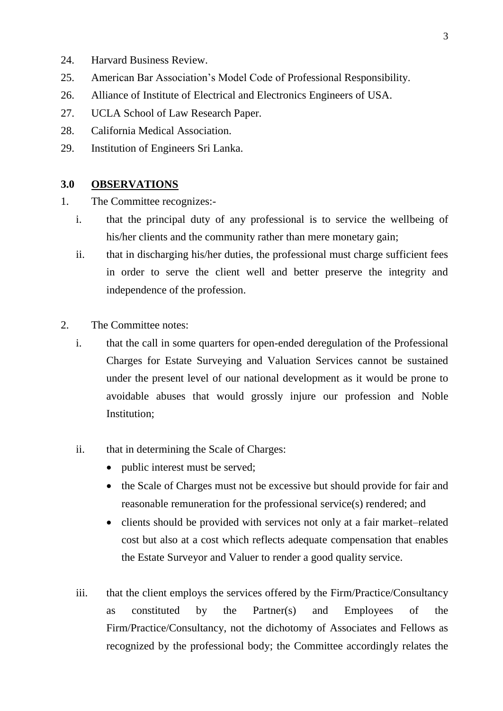- 24. Harvard Business Review.
- 25. American Bar Association's Model Code of Professional Responsibility.
- 26. Alliance of Institute of Electrical and Electronics Engineers of USA.
- 27. UCLA School of Law Research Paper.
- 28. California Medical Association.
- 29. Institution of Engineers Sri Lanka.

### **3.0 OBSERVATIONS**

- 1. The Committee recognizes:
	- i. that the principal duty of any professional is to service the wellbeing of his/her clients and the community rather than mere monetary gain;
	- ii. that in discharging his/her duties, the professional must charge sufficient fees in order to serve the client well and better preserve the integrity and independence of the profession.
- 2. The Committee notes:
	- i. that the call in some quarters for open-ended deregulation of the Professional Charges for Estate Surveying and Valuation Services cannot be sustained under the present level of our national development as it would be prone to avoidable abuses that would grossly injure our profession and Noble Institution;
	- ii. that in determining the Scale of Charges:
		- public interest must be served;
		- the Scale of Charges must not be excessive but should provide for fair and reasonable remuneration for the professional service(s) rendered; and
		- clients should be provided with services not only at a fair market–related cost but also at a cost which reflects adequate compensation that enables the Estate Surveyor and Valuer to render a good quality service.
	- iii. that the client employs the services offered by the Firm/Practice/Consultancy as constituted by the Partner(s) and Employees of the Firm/Practice/Consultancy, not the dichotomy of Associates and Fellows as recognized by the professional body; the Committee accordingly relates the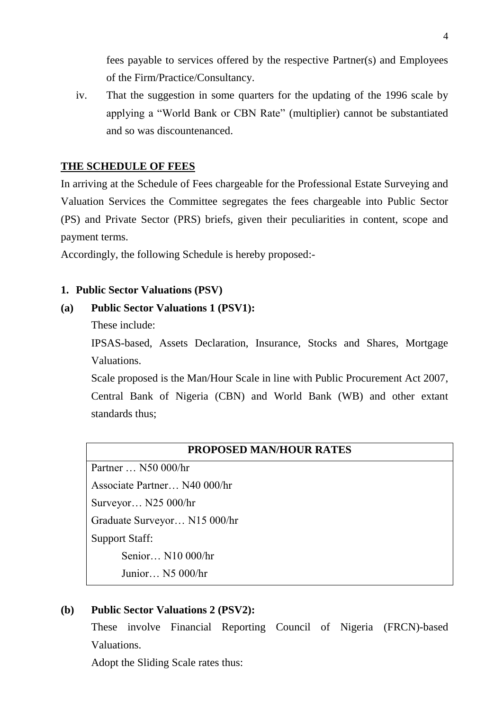fees payable to services offered by the respective Partner(s) and Employees of the Firm/Practice/Consultancy.

iv. That the suggestion in some quarters for the updating of the 1996 scale by applying a "World Bank or CBN Rate" (multiplier) cannot be substantiated and so was discountenanced.

### **THE SCHEDULE OF FEES**

In arriving at the Schedule of Fees chargeable for the Professional Estate Surveying and Valuation Services the Committee segregates the fees chargeable into Public Sector (PS) and Private Sector (PRS) briefs, given their peculiarities in content, scope and payment terms.

Accordingly, the following Schedule is hereby proposed:-

### **1. Public Sector Valuations (PSV)**

#### **(a) Public Sector Valuations 1 (PSV1):**

These include:

IPSAS-based, Assets Declaration, Insurance, Stocks and Shares, Mortgage Valuations.

Scale proposed is the Man/Hour Scale in line with Public Procurement Act 2007, Central Bank of Nigeria (CBN) and World Bank (WB) and other extant standards thus;

# **PROPOSED MAN/HOUR RATES**

Partner … N50 000/hr Associate Partner… N40 000/hr Surveyor… N25 000/hr Graduate Surveyor… N15 000/hr Support Staff: Senior… N10 000/hr Junior… N5 000/hr

### **(b) Public Sector Valuations 2 (PSV2):**

These involve Financial Reporting Council of Nigeria (FRCN)-based Valuations.

Adopt the Sliding Scale rates thus: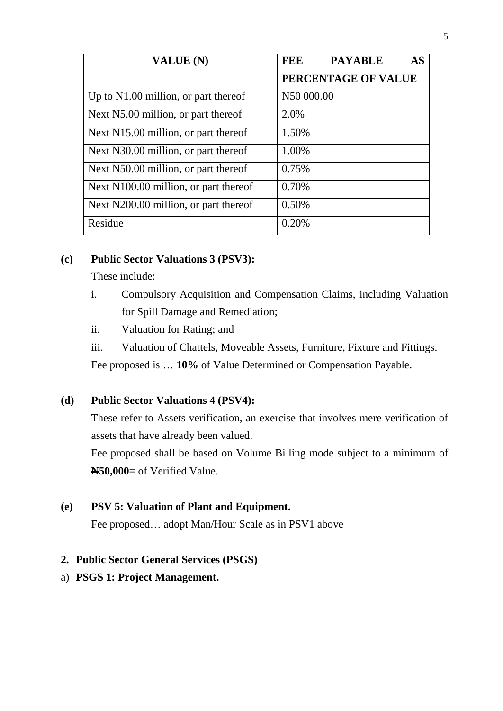| VALUE (N)                             | <b>FEE</b><br><b>AS</b><br><b>PAYABLE</b> |
|---------------------------------------|-------------------------------------------|
|                                       | PERCENTAGE OF VALUE                       |
| Up to N1.00 million, or part thereof  | N50 000.00                                |
| Next N5.00 million, or part thereof   | 2.0%                                      |
| Next N15.00 million, or part thereof  | 1.50%                                     |
| Next N30.00 million, or part thereof  | 1.00%                                     |
| Next N50.00 million, or part thereof  | 0.75%                                     |
| Next N100.00 million, or part thereof | 0.70%                                     |
| Next N200.00 million, or part thereof | 0.50%                                     |
| Residue                               | 0.20%                                     |

# **(c) Public Sector Valuations 3 (PSV3):**

These include:

- i. Compulsory Acquisition and Compensation Claims, including Valuation for Spill Damage and Remediation;
- ii. Valuation for Rating; and
- iii. Valuation of Chattels, Moveable Assets, Furniture, Fixture and Fittings.

Fee proposed is … **10%** of Value Determined or Compensation Payable.

# **(d) Public Sector Valuations 4 (PSV4):**

These refer to Assets verification, an exercise that involves mere verification of assets that have already been valued.

Fee proposed shall be based on Volume Billing mode subject to a minimum of **N50,000=** of Verified Value.

# **(e) PSV 5: Valuation of Plant and Equipment.**

Fee proposed… adopt Man/Hour Scale as in PSV1 above

# **2. Public Sector General Services (PSGS)**

# a) **PSGS 1: Project Management.**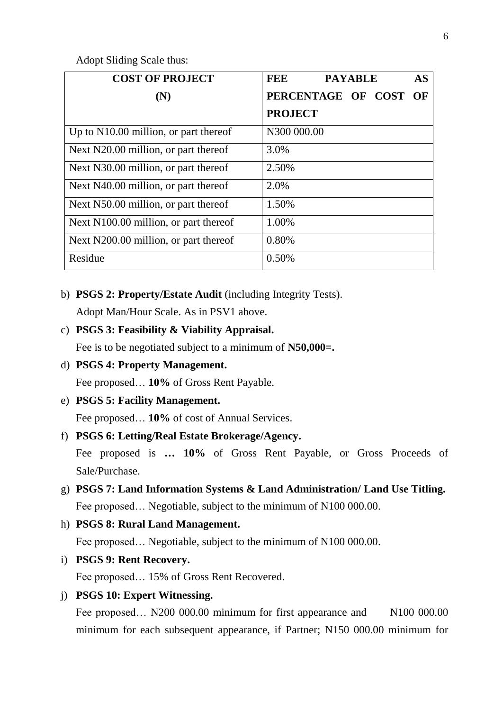Adopt Sliding Scale thus:

| <b>COST OF PROJECT</b>                | FEE<br><b>PAYABLE</b><br><b>AS</b> |
|---------------------------------------|------------------------------------|
| (N)                                   | PERCENTAGE OF COST<br>OF           |
|                                       | <b>PROJECT</b>                     |
| Up to N10.00 million, or part thereof | N300 000.00                        |
| Next N20.00 million, or part thereof  | 3.0%                               |
| Next N30.00 million, or part thereof  | 2.50%                              |
| Next N40.00 million, or part thereof  | 2.0%                               |
| Next N50.00 million, or part thereof  | 1.50%                              |
| Next N100.00 million, or part thereof | 1.00%                              |
| Next N200.00 million, or part thereof | 0.80%                              |
| Residue                               | 0.50%                              |

b) **PSGS 2: Property/Estate Audit** (including Integrity Tests).

Adopt Man/Hour Scale. As in PSV1 above.

c) **PSGS 3: Feasibility & Viability Appraisal.**

Fee is to be negotiated subject to a minimum of **N50,000=.**

d) **PSGS 4: Property Management.**

Fee proposed… **10%** of Gross Rent Payable.

e) **PSGS 5: Facility Management.**

Fee proposed… **10%** of cost of Annual Services.

f) **PSGS 6: Letting/Real Estate Brokerage/Agency.**

Fee proposed is **… 10%** of Gross Rent Payable, or Gross Proceeds of Sale/Purchase.

- g) **PSGS 7: Land Information Systems & Land Administration/ Land Use Titling.** Fee proposed… Negotiable, subject to the minimum of N100 000.00.
- h) **PSGS 8: Rural Land Management.** Fee proposed… Negotiable, subject to the minimum of N100 000.00.
- i) **PSGS 9: Rent Recovery.** Fee proposed… 15% of Gross Rent Recovered.
- j) **PSGS 10: Expert Witnessing.**

Fee proposed... N200 000.00 minimum for first appearance and N100 000.00 minimum for each subsequent appearance, if Partner; N150 000.00 minimum for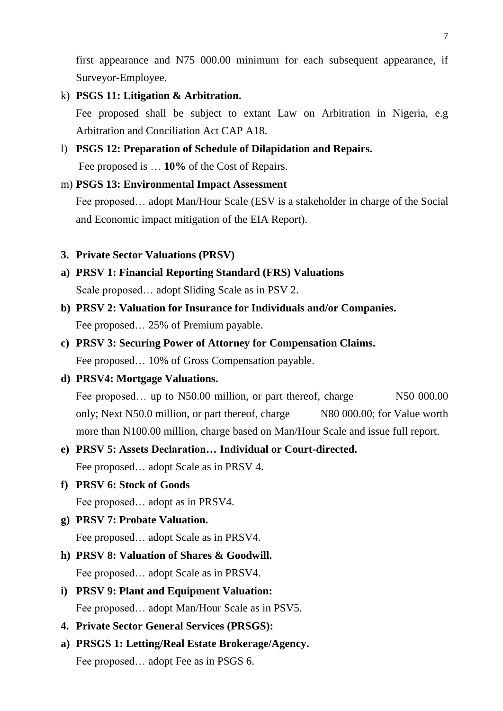first appearance and N75 000.00 minimum for each subsequent appearance, if Surveyor-Employee.

- k) **PSGS 11: Litigation & Arbitration.** Fee proposed shall be subject to extant Law on Arbitration in Nigeria, e.g Arbitration and Conciliation Act CAP A18.
- l) **PSGS 12: Preparation of Schedule of Dilapidation and Repairs.** Fee proposed is … **10%** of the Cost of Repairs.

### m) **PSGS 13: Environmental Impact Assessment**

Fee proposed… adopt Man/Hour Scale (ESV is a stakeholder in charge of the Social and Economic impact mitigation of the EIA Report).

- **3. Private Sector Valuations (PRSV)**
- **a) PRSV 1: Financial Reporting Standard (FRS) Valuations**  Scale proposed… adopt Sliding Scale as in PSV 2.
- **b) PRSV 2: Valuation for Insurance for Individuals and/or Companies.** Fee proposed… 25% of Premium payable.
- **c) PRSV 3: Securing Power of Attorney for Compensation Claims.** Fee proposed… 10% of Gross Compensation payable.
- **d) PRSV4: Mortgage Valuations.**

Fee proposed... up to N50.00 million, or part thereof, charge N50 000.00 only; Next N50.0 million, or part thereof, charge N80 000.00; for Value worth more than N100.00 million, charge based on Man/Hour Scale and issue full report.

# **e) PRSV 5: Assets Declaration… Individual or Court-directed.**

Fee proposed… adopt Scale as in PRSV 4.

**f) PRSV 6: Stock of Goods**

Fee proposed… adopt as in PRSV4.

**g) PRSV 7: Probate Valuation.**

Fee proposed… adopt Scale as in PRSV4.

- **h) PRSV 8: Valuation of Shares & Goodwill.** Fee proposed… adopt Scale as in PRSV4.
- **i) PRSV 9: Plant and Equipment Valuation:**  Fee proposed… adopt Man/Hour Scale as in PSV5.
- **4. Private Sector General Services (PRSGS):**
- **a) PRSGS 1: Letting/Real Estate Brokerage/Agency.** Fee proposed... adopt Fee as in PSGS 6.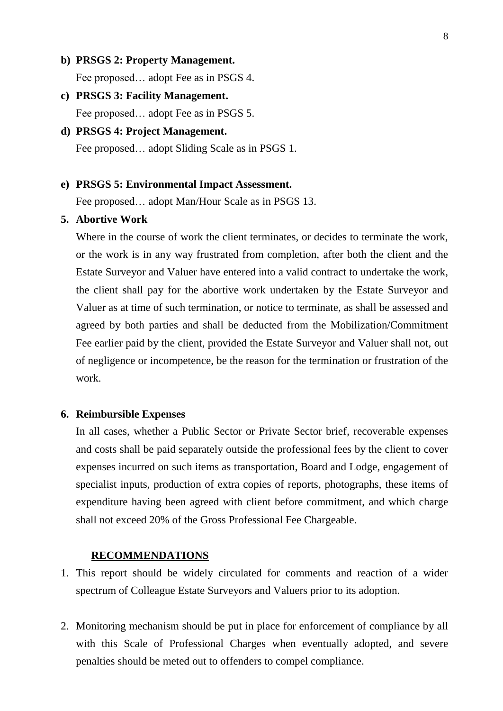- **b) PRSGS 2: Property Management.** Fee proposed… adopt Fee as in PSGS 4.
- **c) PRSGS 3: Facility Management.** Fee proposed... adopt Fee as in PSGS 5.

# **d) PRSGS 4: Project Management.** Fee proposed… adopt Sliding Scale as in PSGS 1.

### **e) PRSGS 5: Environmental Impact Assessment.**

Fee proposed… adopt Man/Hour Scale as in PSGS 13.

### **5. Abortive Work**

Where in the course of work the client terminates, or decides to terminate the work, or the work is in any way frustrated from completion, after both the client and the Estate Surveyor and Valuer have entered into a valid contract to undertake the work, the client shall pay for the abortive work undertaken by the Estate Surveyor and Valuer as at time of such termination, or notice to terminate, as shall be assessed and agreed by both parties and shall be deducted from the Mobilization/Commitment Fee earlier paid by the client, provided the Estate Surveyor and Valuer shall not, out of negligence or incompetence, be the reason for the termination or frustration of the work.

### **6. Reimbursible Expenses**

In all cases, whether a Public Sector or Private Sector brief, recoverable expenses and costs shall be paid separately outside the professional fees by the client to cover expenses incurred on such items as transportation, Board and Lodge, engagement of specialist inputs, production of extra copies of reports, photographs, these items of expenditure having been agreed with client before commitment, and which charge shall not exceed 20% of the Gross Professional Fee Chargeable.

### **RECOMMENDATIONS**

- 1. This report should be widely circulated for comments and reaction of a wider spectrum of Colleague Estate Surveyors and Valuers prior to its adoption.
- 2. Monitoring mechanism should be put in place for enforcement of compliance by all with this Scale of Professional Charges when eventually adopted, and severe penalties should be meted out to offenders to compel compliance.